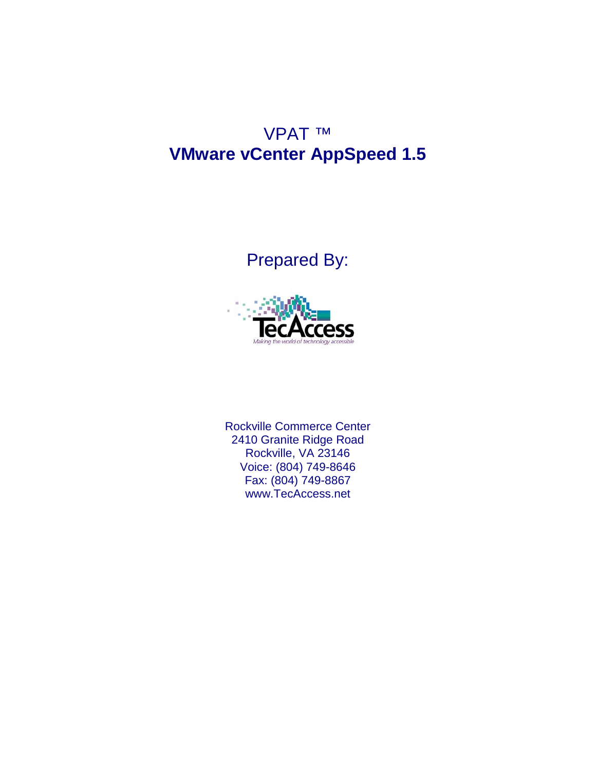## VPAT ™ **VMware vCenter AppSpeed 1.5**

## Prepared By:



Rockville Commerce Center 2410 Granite Ridge Road Rockville, VA 23146 Voice: (804) 749-8646 Fax: (804) 749-8867 [www.TecAccess.net](http://www.tecaccess.net)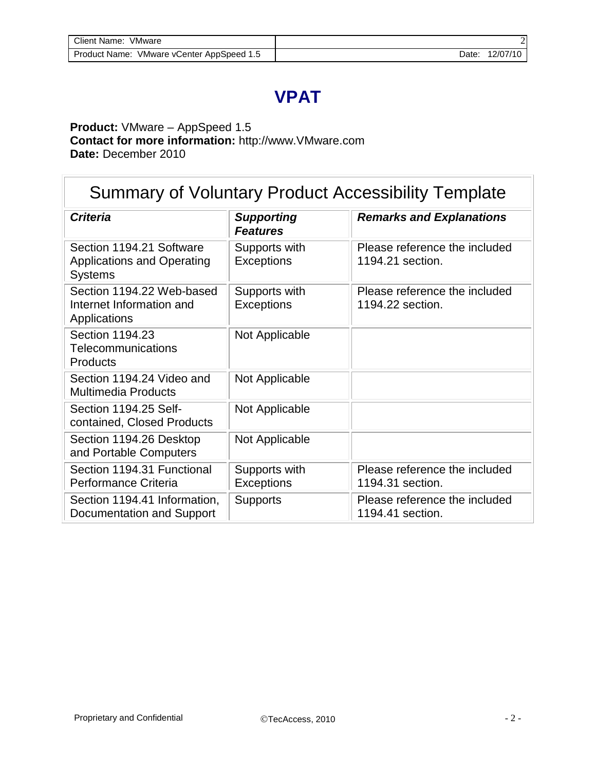## **VPAT**

#### **Product:** VMware – AppSpeed 1.5 **Contact for more information:** [http://www.VMware.com](http://www.vmware.com)  **Date:** December 2010

| <b>Summary of Voluntary Product Accessibility Template</b>                      |                                      |                                                   |  |
|---------------------------------------------------------------------------------|--------------------------------------|---------------------------------------------------|--|
| <b>Criteria</b>                                                                 | <b>Supporting</b><br><b>Features</b> | <b>Remarks and Explanations</b>                   |  |
| Section 1194.21 Software<br><b>Applications and Operating</b><br><b>Systems</b> | Supports with<br><b>Exceptions</b>   | Please reference the included<br>1194.21 section. |  |
| Section 1194.22 Web-based<br>Internet Information and<br>Applications           | Supports with<br><b>Exceptions</b>   | Please reference the included<br>1194.22 section. |  |
| Section 1194.23<br>Telecommunications<br><b>Products</b>                        | Not Applicable                       |                                                   |  |
| Section 1194.24 Video and<br><b>Multimedia Products</b>                         | Not Applicable                       |                                                   |  |
| Section 1194.25 Self-<br>contained, Closed Products                             | Not Applicable                       |                                                   |  |
| Section 1194.26 Desktop<br>and Portable Computers                               | Not Applicable                       |                                                   |  |
| Section 1194.31 Functional<br>Performance Criteria                              | Supports with<br>Exceptions          | Please reference the included<br>1194.31 section. |  |
| Section 1194.41 Information,<br>Documentation and Support                       | <b>Supports</b>                      | Please reference the included<br>1194.41 section. |  |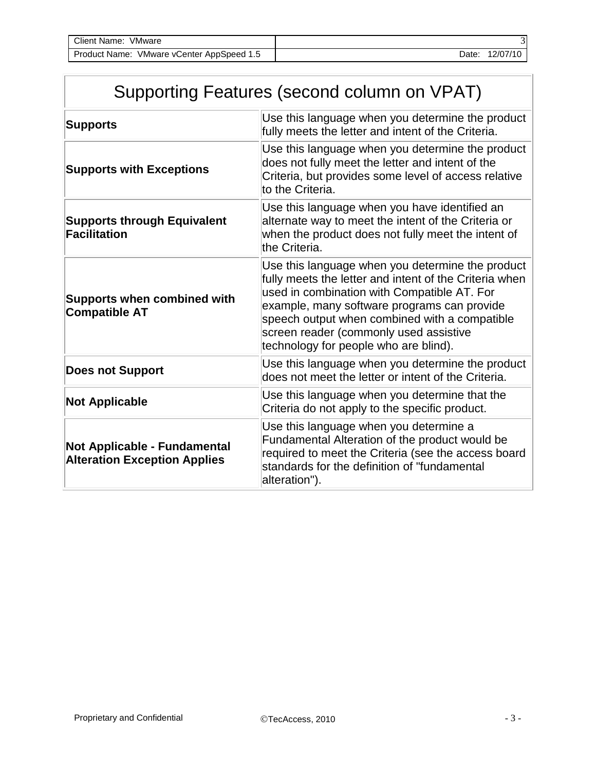| Client Name:<br>VMware                    |       |          |
|-------------------------------------------|-------|----------|
| Product Name: VMware vCenter AppSpeed 1.5 | Date: | 12/07/10 |

|  | Supporting Features (second column on VPAT) |  |
|--|---------------------------------------------|--|
|--|---------------------------------------------|--|

| <b>Supports</b>                                                     | Use this language when you determine the product<br>fully meets the letter and intent of the Criteria.                                                                                                                                                                                                                                       |
|---------------------------------------------------------------------|----------------------------------------------------------------------------------------------------------------------------------------------------------------------------------------------------------------------------------------------------------------------------------------------------------------------------------------------|
| <b>Supports with Exceptions</b>                                     | Use this language when you determine the product<br>does not fully meet the letter and intent of the<br>Criteria, but provides some level of access relative<br>to the Criteria.                                                                                                                                                             |
| <b>Supports through Equivalent</b><br><b>Facilitation</b>           | Use this language when you have identified an<br>alternate way to meet the intent of the Criteria or<br>when the product does not fully meet the intent of<br>the Criteria.                                                                                                                                                                  |
| <b>Supports when combined with</b><br><b>Compatible AT</b>          | Use this language when you determine the product<br>fully meets the letter and intent of the Criteria when<br>used in combination with Compatible AT. For<br>example, many software programs can provide<br>speech output when combined with a compatible<br>screen reader (commonly used assistive<br>technology for people who are blind). |
| <b>Does not Support</b>                                             | Use this language when you determine the product<br>does not meet the letter or intent of the Criteria.                                                                                                                                                                                                                                      |
| <b>Not Applicable</b>                                               | Use this language when you determine that the<br>Criteria do not apply to the specific product.                                                                                                                                                                                                                                              |
| Not Applicable - Fundamental<br><b>Alteration Exception Applies</b> | Use this language when you determine a<br>Fundamental Alteration of the product would be<br>required to meet the Criteria (see the access board<br>standards for the definition of "fundamental<br>alteration").                                                                                                                             |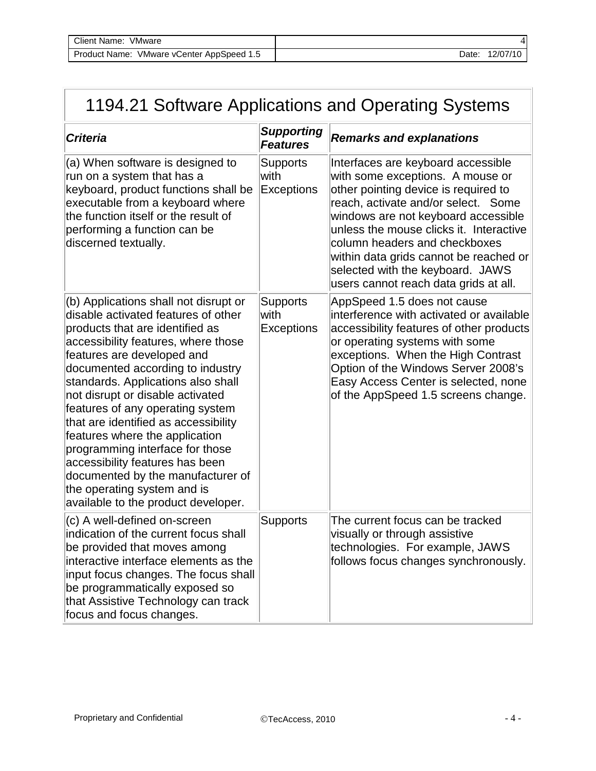# 1194.21 Software Applications and Operating Systems

| <b>Criteria</b>                                                                                                                                                                                                                                                                                                                                                                                                                                                                                                                                                                                   | <b>Supporting</b><br><b>Features</b>         | <b>Remarks and explanations</b>                                                                                                                                                                                                                                                                                                                                                                 |
|---------------------------------------------------------------------------------------------------------------------------------------------------------------------------------------------------------------------------------------------------------------------------------------------------------------------------------------------------------------------------------------------------------------------------------------------------------------------------------------------------------------------------------------------------------------------------------------------------|----------------------------------------------|-------------------------------------------------------------------------------------------------------------------------------------------------------------------------------------------------------------------------------------------------------------------------------------------------------------------------------------------------------------------------------------------------|
| (a) When software is designed to<br>run on a system that has a<br>keyboard, product functions shall be<br>executable from a keyboard where<br>the function itself or the result of<br>performing a function can be<br>discerned textually.                                                                                                                                                                                                                                                                                                                                                        | <b>Supports</b><br>with<br><b>Exceptions</b> | Interfaces are keyboard accessible<br>with some exceptions. A mouse or<br>other pointing device is required to<br>reach, activate and/or select. Some<br>windows are not keyboard accessible<br>unless the mouse clicks it. Interactive<br>column headers and checkboxes<br>within data grids cannot be reached or<br>selected with the keyboard. JAWS<br>users cannot reach data grids at all. |
| (b) Applications shall not disrupt or<br>disable activated features of other<br>products that are identified as<br>accessibility features, where those<br>features are developed and<br>documented according to industry<br>standards. Applications also shall<br>not disrupt or disable activated<br>features of any operating system<br>that are identified as accessibility<br>features where the application<br>programming interface for those<br>accessibility features has been<br>documented by the manufacturer of<br>the operating system and is<br>available to the product developer. | <b>Supports</b><br>with<br>Exceptions        | AppSpeed 1.5 does not cause<br>interference with activated or available<br>accessibility features of other products<br>or operating systems with some<br>exceptions. When the High Contrast<br>Option of the Windows Server 2008's<br>Easy Access Center is selected, none<br>of the AppSpeed 1.5 screens change.                                                                               |
| (c) A well-defined on-screen<br>indication of the current focus shall<br>be provided that moves among<br>interactive interface elements as the<br>input focus changes. The focus shall<br>be programmatically exposed so<br>that Assistive Technology can track<br>focus and focus changes.                                                                                                                                                                                                                                                                                                       | <b>Supports</b>                              | The current focus can be tracked<br>visually or through assistive<br>technologies. For example, JAWS<br>follows focus changes synchronously.                                                                                                                                                                                                                                                    |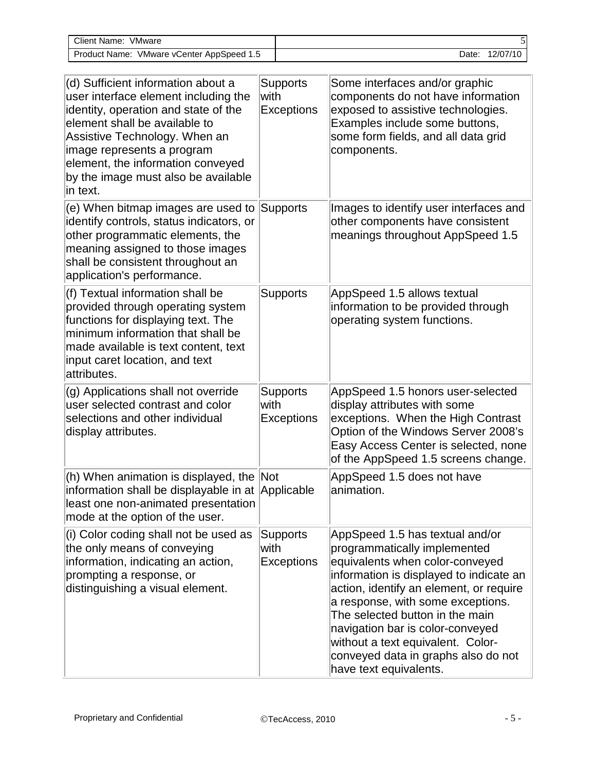| <b>Client Name: VMware</b>                                                                                                                                                                                                                                                                                 |      |                                      |                                                                                                                                                                                                                                                                                                                                                                                                            |  |
|------------------------------------------------------------------------------------------------------------------------------------------------------------------------------------------------------------------------------------------------------------------------------------------------------------|------|--------------------------------------|------------------------------------------------------------------------------------------------------------------------------------------------------------------------------------------------------------------------------------------------------------------------------------------------------------------------------------------------------------------------------------------------------------|--|
| Product Name: VMware vCenter AppSpeed 1.5                                                                                                                                                                                                                                                                  |      | Date: 12/07/10                       |                                                                                                                                                                                                                                                                                                                                                                                                            |  |
|                                                                                                                                                                                                                                                                                                            |      |                                      |                                                                                                                                                                                                                                                                                                                                                                                                            |  |
| (d) Sufficient information about a<br>user interface element including the<br>identity, operation and state of the<br>element shall be available to<br>Assistive Technology. When an<br>image represents a program<br>element, the information conveyed<br>by the image must also be available<br>in text. | with | <b>Supports</b><br>Exceptions        | Some interfaces and/or graphic<br>components do not have information<br>exposed to assistive technologies.<br>Examples include some buttons,<br>some form fields, and all data grid<br>components.                                                                                                                                                                                                         |  |
| (e) When bitmap images are used to<br>identify controls, status indicators, or<br>other programmatic elements, the<br>meaning assigned to those images<br>shall be consistent throughout an<br>application's performance.                                                                                  |      | Supports                             | Images to identify user interfaces and<br>other components have consistent<br>meanings throughout AppSpeed 1.5                                                                                                                                                                                                                                                                                             |  |
| (f) Textual information shall be<br>provided through operating system<br>functions for displaying text. The<br>minimum information that shall be<br>made available is text content, text<br>input caret location, and text<br>attributes.                                                                  |      | <b>Supports</b>                      | AppSpeed 1.5 allows textual<br>information to be provided through<br>operating system functions.                                                                                                                                                                                                                                                                                                           |  |
| (g) Applications shall not override<br>user selected contrast and color<br>selections and other individual<br>display attributes.                                                                                                                                                                          | with | <b>Supports</b><br><b>Exceptions</b> | AppSpeed 1.5 honors user-selected<br>display attributes with some<br>exceptions. When the High Contrast<br>Option of the Windows Server 2008's<br>Easy Access Center is selected, none<br>of the AppSpeed 1.5 screens change.                                                                                                                                                                              |  |
| (h) When animation is displayed, the Not<br>information shall be displayable in at Applicable<br>least one non-animated presentation<br>mode at the option of the user.                                                                                                                                    |      |                                      | AppSpeed 1.5 does not have<br>animation.                                                                                                                                                                                                                                                                                                                                                                   |  |
| (i) Color coding shall not be used as<br>the only means of conveying<br>information, indicating an action,<br>prompting a response, or<br>distinguishing a visual element.                                                                                                                                 | with | <b>Supports</b><br><b>Exceptions</b> | AppSpeed 1.5 has textual and/or<br>programmatically implemented<br>equivalents when color-conveyed<br>information is displayed to indicate an<br>action, identify an element, or require<br>a response, with some exceptions.<br>The selected button in the main<br>navigation bar is color-conveyed<br>without a text equivalent. Color-<br>conveyed data in graphs also do not<br>have text equivalents. |  |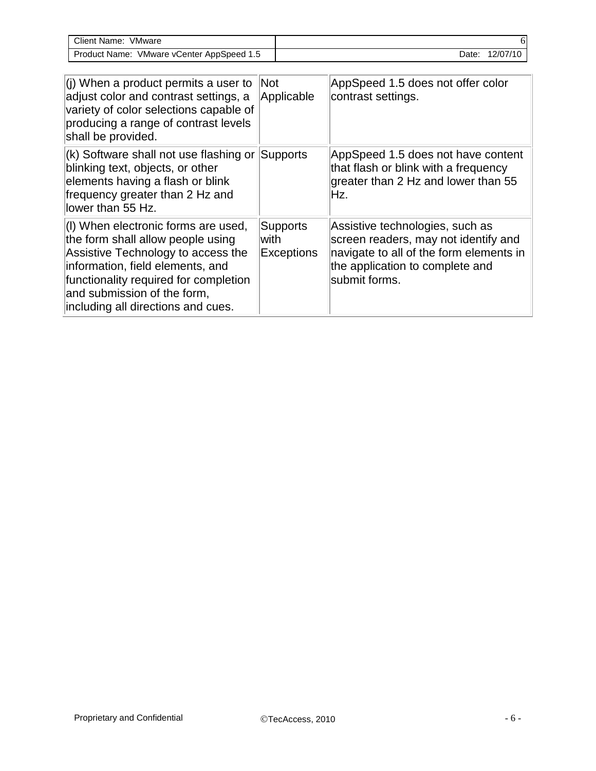| Client Name:<br>VMware                    |                   |
|-------------------------------------------|-------------------|
| Product Name: VMware vCenter AppSpeed 1.5 | 12/07/10<br>Date: |

| $(i)$ When a product permits a user to<br>adjust color and contrast settings, a<br>variety of color selections capable of<br>producing a range of contrast levels<br>shall be provided.                                                                          | <b>Not</b><br>Applicable               | AppSpeed 1.5 does not offer color<br>contrast settings.                                                                                                                |
|------------------------------------------------------------------------------------------------------------------------------------------------------------------------------------------------------------------------------------------------------------------|----------------------------------------|------------------------------------------------------------------------------------------------------------------------------------------------------------------------|
| $(k)$ Software shall not use flashing or Supports<br>blinking text, objects, or other<br>elements having a flash or blink<br>frequency greater than 2 Hz and<br>llower than 55 Hz.                                                                               |                                        | AppSpeed 1.5 does not have content<br>that flash or blink with a frequency<br>greater than 2 Hz and lower than 55<br>Hz.                                               |
| (I) When electronic forms are used,<br>the form shall allow people using<br>Assistive Technology to access the<br>information, field elements, and<br>functionality required for completion<br>and submission of the form,<br>including all directions and cues. | Supports<br>lwith<br><b>Exceptions</b> | Assistive technologies, such as<br>screen readers, may not identify and<br>navigate to all of the form elements in<br>the application to complete and<br>submit forms. |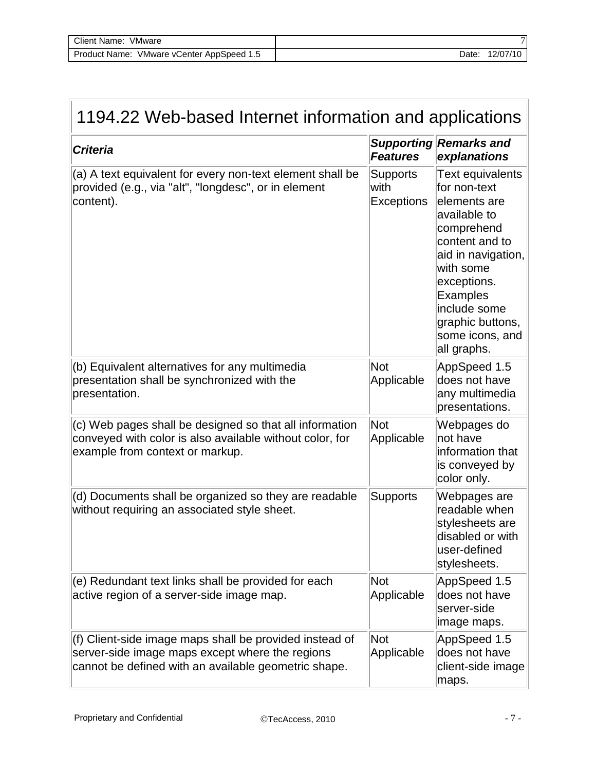| Client Name:<br>VMware      | $\sim$   |
|-----------------------------|----------|
| VMware vCenter AppSpeed 1.5 | 12/07/10 |
| Product Name:               | Date:    |

| 1194.22 Web-based Internet information and applications                                                                                                            |                                              |                                                                                                                                                                                                                                      |  |
|--------------------------------------------------------------------------------------------------------------------------------------------------------------------|----------------------------------------------|--------------------------------------------------------------------------------------------------------------------------------------------------------------------------------------------------------------------------------------|--|
| <b>Criteria</b>                                                                                                                                                    | <b>Features</b>                              | <b>Supporting Remarks and</b><br>explanations                                                                                                                                                                                        |  |
| (a) A text equivalent for every non-text element shall be<br>provided (e.g., via "alt", "longdesc", or in element<br>content).                                     | <b>Supports</b><br>with<br><b>Exceptions</b> | Text equivalents<br>for non-text<br>elements are<br>available to<br>comprehend<br>content and to<br>aid in navigation,<br>with some<br>exceptions.<br>Examples<br>include some<br>graphic buttons,<br>some icons, and<br>all graphs. |  |
| (b) Equivalent alternatives for any multimedia<br>presentation shall be synchronized with the<br>presentation.                                                     | <b>Not</b><br>Applicable                     | AppSpeed 1.5<br>does not have<br>any multimedia<br>presentations.                                                                                                                                                                    |  |
| (c) Web pages shall be designed so that all information<br>conveyed with color is also available without color, for<br>example from context or markup.             | <b>Not</b><br>Applicable                     | Webpages do<br>not have<br>information that<br>is conveyed by<br>color only.                                                                                                                                                         |  |
| (d) Documents shall be organized so they are readable<br>without requiring an associated style sheet.                                                              | <b>Supports</b>                              | Webpages are<br>readable when<br>stylesheets are<br>disabled or with<br>user-defined<br>stylesheets.                                                                                                                                 |  |
| (e) Redundant text links shall be provided for each<br>active region of a server-side image map.                                                                   | <b>Not</b><br>Applicable                     | AppSpeed 1.5<br>does not have<br>server-side<br>image maps.                                                                                                                                                                          |  |
| (f) Client-side image maps shall be provided instead of<br>server-side image maps except where the regions<br>cannot be defined with an available geometric shape. | <b>Not</b><br>Applicable                     | AppSpeed 1.5<br>does not have<br>client-side image<br>maps.                                                                                                                                                                          |  |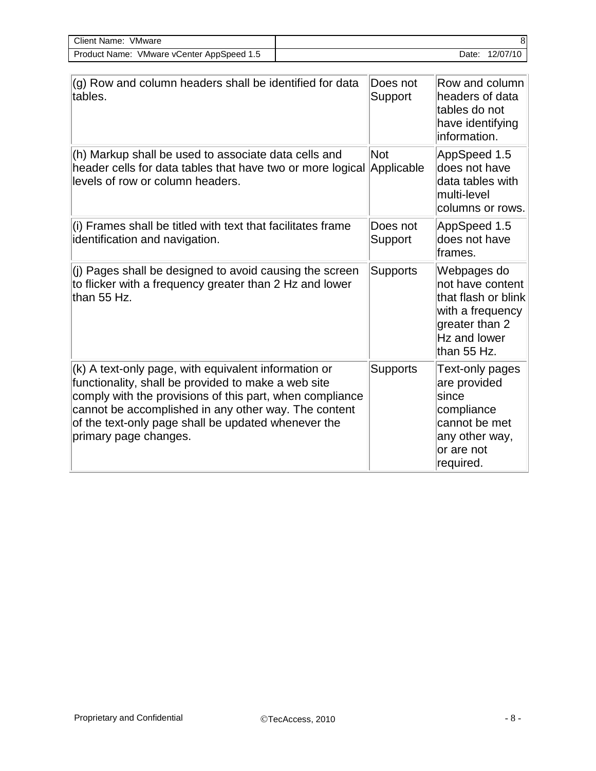| VMware<br>Client Name:      |          |
|-----------------------------|----------|
| VMware vCenter AppSpeed 1.5 | 12/07/10 |
| Product Name:               | Date:    |

| (g) Row and column headers shall be identified for data<br>tables.                                                                                                                                                                                                                                              | Does not<br>Support      | Row and column<br>headers of data<br>tables do not<br>have identifying<br>information.                                      |
|-----------------------------------------------------------------------------------------------------------------------------------------------------------------------------------------------------------------------------------------------------------------------------------------------------------------|--------------------------|-----------------------------------------------------------------------------------------------------------------------------|
| (h) Markup shall be used to associate data cells and<br>header cells for data tables that have two or more logical<br>levels of row or column headers.                                                                                                                                                          | <b>Not</b><br>Applicable | AppSpeed 1.5<br>does not have<br>data tables with<br>multi-level<br>columns or rows.                                        |
| (i) Frames shall be titled with text that facilitates frame<br>identification and navigation.                                                                                                                                                                                                                   | Does not<br>Support      | AppSpeed 1.5<br>does not have<br>frames.                                                                                    |
| (j) Pages shall be designed to avoid causing the screen<br>to flicker with a frequency greater than 2 Hz and lower<br>than 55 Hz.                                                                                                                                                                               | <b>Supports</b>          | Webpages do<br>not have content<br>that flash or blink<br>with a frequency<br>greater than 2<br>Hz and lower<br>than 55 Hz. |
| (k) A text-only page, with equivalent information or<br>functionality, shall be provided to make a web site<br>comply with the provisions of this part, when compliance<br>cannot be accomplished in any other way. The content<br>of the text-only page shall be updated whenever the<br>primary page changes. | <b>Supports</b>          | Text-only pages<br>are provided<br>since<br>compliance<br>cannot be met<br>any other way,<br>or are not<br>required.        |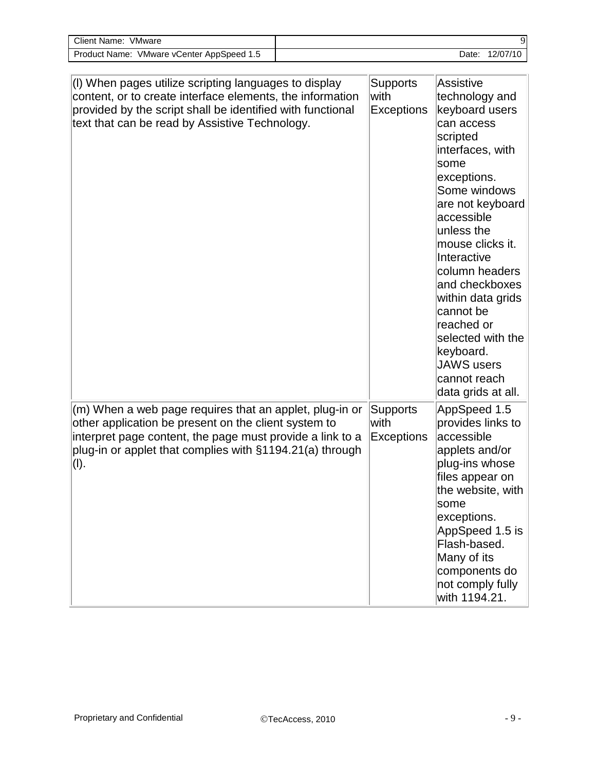| Client Name:<br>VMware                              |                   | آن |
|-----------------------------------------------------|-------------------|----|
| VMware vCenter AppSpeed 1.5<br><b>Product Name:</b> | 12/07/10<br>Date: |    |

| (I) When pages utilize scripting languages to display<br>content, or to create interface elements, the information<br>provided by the script shall be identified with functional<br>text that can be read by Assistive Technology.               | <b>Supports</b><br>with<br><b>Exceptions</b> | <b>Assistive</b><br>technology and<br>keyboard users<br>can access<br>scripted<br>interfaces, with<br>some<br>exceptions.<br>Some windows<br>are not keyboard<br>accessible<br>unless the<br>mouse clicks it.<br>Interactive<br>column headers<br>and checkboxes<br>within data grids<br>cannot be<br>reached or<br>selected with the<br>keyboard.<br><b>JAWS</b> users<br>cannot reach<br>data grids at all. |
|--------------------------------------------------------------------------------------------------------------------------------------------------------------------------------------------------------------------------------------------------|----------------------------------------------|---------------------------------------------------------------------------------------------------------------------------------------------------------------------------------------------------------------------------------------------------------------------------------------------------------------------------------------------------------------------------------------------------------------|
| (m) When a web page requires that an applet, plug-in or<br>other application be present on the client system to<br>interpret page content, the page must provide a link to a<br>plug-in or applet that complies with §1194.21(a) through<br>(I). | <b>Supports</b><br>with<br><b>Exceptions</b> | AppSpeed 1.5<br>provides links to<br>accessible<br>applets and/or<br>plug-ins whose<br>files appear on<br>the website, with<br>some<br>exceptions.<br>AppSpeed 1.5 is<br>Flash-based.<br>Many of its<br>components do<br>not comply fully<br>with 1194.21.                                                                                                                                                    |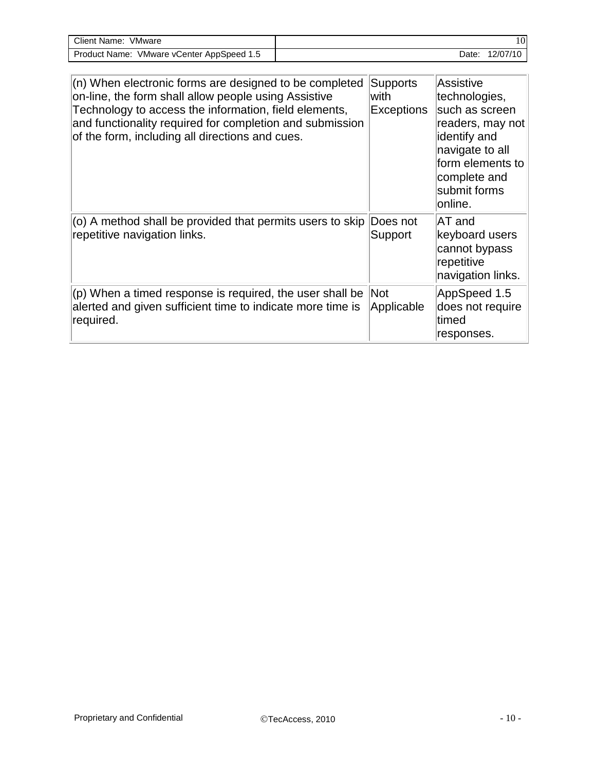| Client Name:<br>VMware                    |       | 10       |
|-------------------------------------------|-------|----------|
| Product Name: VMware vCenter AppSpeed 1.5 | Date: | 12/07/10 |

| $(n)$ When electronic forms are designed to be completed<br>on-line, the form shall allow people using Assistive<br>Technology to access the information, field elements,<br>and functionality required for completion and submission<br>of the form, including all directions and cues. | Supports<br>with<br>Exceptions | <b>Assistive</b><br>technologies,<br>such as screen<br>readers, may not<br>identify and<br>navigate to all<br>form elements to<br>complete and<br>submit forms<br>online. |
|------------------------------------------------------------------------------------------------------------------------------------------------------------------------------------------------------------------------------------------------------------------------------------------|--------------------------------|---------------------------------------------------------------------------------------------------------------------------------------------------------------------------|
| (o) A method shall be provided that permits users to skip<br>repetitive navigation links.                                                                                                                                                                                                | Does not<br>Support            | AT and<br>keyboard users<br>cannot bypass<br>repetitive<br>navigation links.                                                                                              |
| $(p)$ When a timed response is required, the user shall be<br>alerted and given sufficient time to indicate more time is<br>required.                                                                                                                                                    | Not<br>Applicable              | AppSpeed 1.5<br>does not require<br>ltimed<br>responses.                                                                                                                  |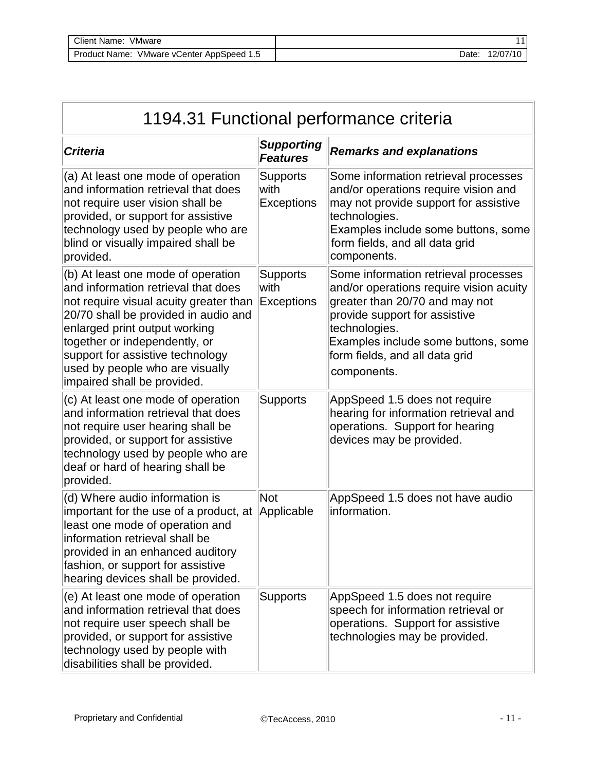| Client Name:<br>VMware                              |       |          |
|-----------------------------------------------------|-------|----------|
| VMware vCenter AppSpeed 1.5<br><b>Product Name:</b> | Date: | 12/07/10 |

| 1194.31 Functional performance criteria                                                                                                                                                                                                                                                                                             |                                              |                                                                                                                                                                                                                                                             |  |
|-------------------------------------------------------------------------------------------------------------------------------------------------------------------------------------------------------------------------------------------------------------------------------------------------------------------------------------|----------------------------------------------|-------------------------------------------------------------------------------------------------------------------------------------------------------------------------------------------------------------------------------------------------------------|--|
| <b>Criteria</b>                                                                                                                                                                                                                                                                                                                     | <b>Supporting</b><br><b>Features</b>         | <b>Remarks and explanations</b>                                                                                                                                                                                                                             |  |
| (a) At least one mode of operation<br>and information retrieval that does<br>not require user vision shall be<br>provided, or support for assistive<br>technology used by people who are<br>blind or visually impaired shall be<br>provided.                                                                                        | <b>Supports</b><br>with<br><b>Exceptions</b> | Some information retrieval processes<br>and/or operations require vision and<br>may not provide support for assistive<br>technologies.<br>Examples include some buttons, some<br>form fields, and all data grid<br>components.                              |  |
| (b) At least one mode of operation<br>and information retrieval that does<br>not require visual acuity greater than<br>20/70 shall be provided in audio and<br>enlarged print output working<br>together or independently, or<br>support for assistive technology<br>used by people who are visually<br>impaired shall be provided. | <b>Supports</b><br>with<br><b>Exceptions</b> | Some information retrieval processes<br>and/or operations require vision acuity<br>greater than 20/70 and may not<br>provide support for assistive<br>technologies.<br>Examples include some buttons, some<br>form fields, and all data grid<br>components. |  |
| (c) At least one mode of operation<br>and information retrieval that does<br>not require user hearing shall be<br>provided, or support for assistive<br>technology used by people who are<br>deaf or hard of hearing shall be<br>provided.                                                                                          | <b>Supports</b>                              | AppSpeed 1.5 does not require<br>hearing for information retrieval and<br>operations. Support for hearing<br>devices may be provided.                                                                                                                       |  |
| (d) Where audio information is<br>important for the use of a product, at<br>least one mode of operation and<br>information retrieval shall be<br>provided in an enhanced auditory<br>fashion, or support for assistive<br>hearing devices shall be provided.                                                                        | <b>Not</b><br>Applicable                     | AppSpeed 1.5 does not have audio<br>information.                                                                                                                                                                                                            |  |
| (e) At least one mode of operation<br>and information retrieval that does<br>not require user speech shall be<br>provided, or support for assistive<br>technology used by people with<br>disabilities shall be provided.                                                                                                            | <b>Supports</b>                              | AppSpeed 1.5 does not require<br>speech for information retrieval or<br>operations. Support for assistive<br>technologies may be provided.                                                                                                                  |  |

 $\overline{1}$